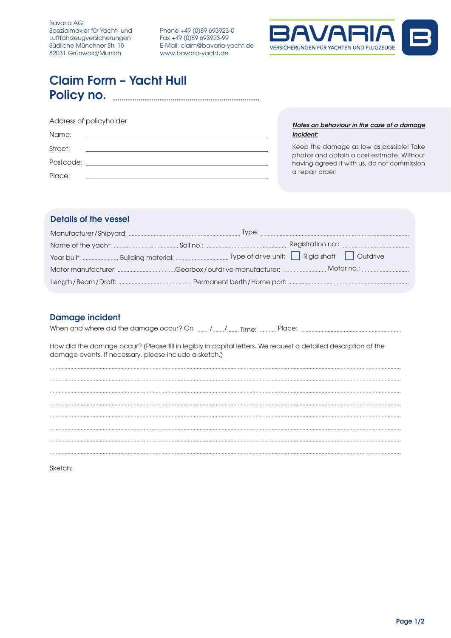Phone +49 (0)89 693923-0 Fax +49 (0)89 693923-99 E-Mail: claim@bavaria-yacht.de www.bavaria-yacht.de



# **Claim Form - Yacht Hull**

| Address of policyholder |                                               |  |  |  |
|-------------------------|-----------------------------------------------|--|--|--|
| Name:                   | <u> 1989 - Andrea State Barbara, martin a</u> |  |  |  |
| Street:                 |                                               |  |  |  |
|                         |                                               |  |  |  |
| Place:                  |                                               |  |  |  |

Notes on behaviour in the case of a damage incident:

Keep the damage as low as possible! Take photos and obtain a cost estimate. Without having agreed it with us, do not commission a repair order!

## **Details of the vessel**

# **Damage incident**

How did the damage occur? (Please fill in legibly in capital letters. We request a detailed description of the damage events. If necessary, please include a sketch.)

Sketch: